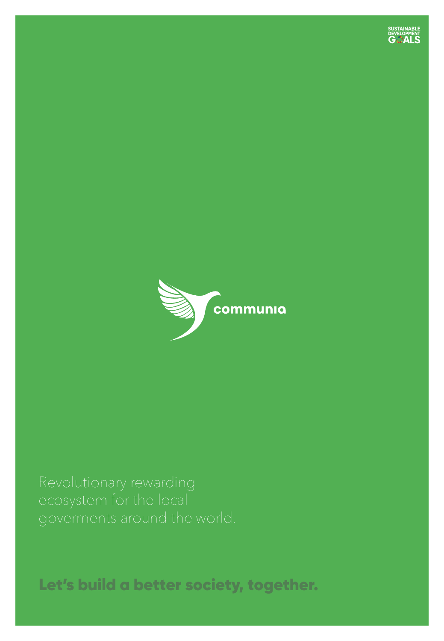



Let's build a better society, together.